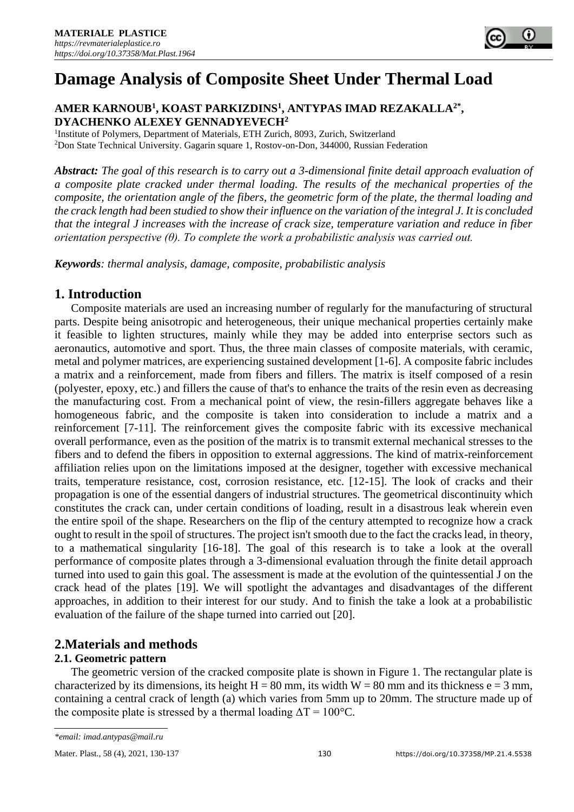

# $A$ MER KARNOUB<sup>1</sup>, KOAST PARKIZDINS<sup>1</sup>, ANTYPAS IMAD REZAKALLA<sup>2\*</sup>, **DYACHENKO ALEXEY GENNADYEVECH<sup>2</sup>**

<sup>1</sup>Institute of Polymers, Department of Materials, ETH Zurich, 8093, Zurich, Switzerland <sup>2</sup>Don State Technical University. Gagarin square 1, Rostov-on-Don, 344000, Russian Federation

*Abstract: The goal of this research is to carry out a 3-dimensional finite detail approach evaluation of a composite plate cracked under thermal loading. The results of the mechanical properties of the composite, the orientation angle of the fibers, the geometric form of the plate, the thermal loading and the crack length had been studied to show their influence on the variation of the integral J. It is concluded that the integral J increases with the increase of crack size, temperature variation and reduce in fiber orientation perspective (θ). To complete the work a probabilistic analysis was carried out.*

*Keywords: thermal analysis, damage, composite, probabilistic analysis*

# **1. Introduction**

Composite materials are used an increasing number of regularly for the manufacturing of structural parts. Despite being anisotropic and heterogeneous, their unique mechanical properties certainly make it feasible to lighten structures, mainly while they may be added into enterprise sectors such as aeronautics, automotive and sport. Thus, the three main classes of composite materials, with ceramic, metal and polymer matrices, are experiencing sustained development [1-6]. A composite fabric includes a matrix and a reinforcement, made from fibers and fillers. The matrix is itself composed of a resin (polyester, epoxy, etc.) and fillers the cause of that's to enhance the traits of the resin even as decreasing the manufacturing cost. From a mechanical point of view, the resin-fillers aggregate behaves like a homogeneous fabric, and the composite is taken into consideration to include a matrix and a reinforcement [7-11]. The reinforcement gives the composite fabric with its excessive mechanical overall performance, even as the position of the matrix is to transmit external mechanical stresses to the fibers and to defend the fibers in opposition to external aggressions. The kind of matrix-reinforcement affiliation relies upon on the limitations imposed at the designer, together with excessive mechanical traits, temperature resistance, cost, corrosion resistance, etc. [12-15]. The look of cracks and their propagation is one of the essential dangers of industrial structures. The geometrical discontinuity which constitutes the crack can, under certain conditions of loading, result in a disastrous leak wherein even the entire spoil of the shape. Researchers on the flip of the century attempted to recognize how a crack ought to result in the spoil of structures. The project isn't smooth due to the fact the cracks lead, in theory, to a mathematical singularity [16-18]. The goal of this research is to take a look at the overall performance of composite plates through a 3-dimensional evaluation through the finite detail approach turned into used to gain this goal. The assessment is made at the evolution of the quintessential J on the crack head of the plates [19]. We will spotlight the advantages and disadvantages of the different approaches, in addition to their interest for our study. And to finish the take a look at a probabilistic evaluation of the failure of the shape turned into carried out [20].

# **2.Materials and methods**

# **2.1. Geometric pattern**

The geometric version of the cracked composite plate is shown in Figure 1. The rectangular plate is characterized by its dimensions, its height H = 80 mm, its width W = 80 mm and its thickness e = 3 mm, containing a central crack of length (a) which varies from 5mm up to 20mm. The structure made up of the composite plate is stressed by a thermal loading  $\Delta T = 100^{\circ}$ C.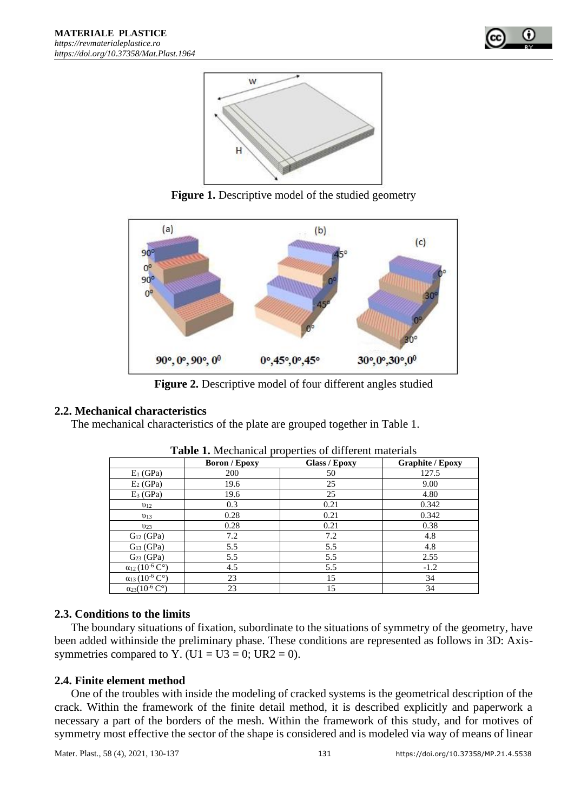



**Figure 1.** Descriptive model of the studied geometry



**Figure 2.** Descriptive model of four different angles studied

# **2.2. Mechanical characteristics**

The mechanical characteristics of the plate are grouped together in Table 1.

|                                                 | <b>Boron</b> / Epoxy | <b>Glass / Epoxy</b> | <b>Graphite / Epoxy</b> |
|-------------------------------------------------|----------------------|----------------------|-------------------------|
| $E_1$ (GPa)                                     | 200                  | 50                   | 127.5                   |
| $E_2$ (GPa)                                     | 19.6                 | 25                   | 9.00                    |
| $E_3$ (GPa)                                     | 19.6                 | 25                   | 4.80                    |
| $v_{12}$                                        | 0.3                  | 0.21                 | 0.342                   |
| $v_{13}$                                        | 0.28                 | 0.21                 | 0.342                   |
| $v_{23}$                                        | 0.28                 | 0.21                 | 0.38                    |
| $G_{12}$ (GPa)                                  | 7.2                  | 7.2                  | 4.8                     |
| $G13$ (GPa)                                     | 5.5                  | 5.5                  | 4.8                     |
| $G23$ (GPa)                                     | 5.5                  | 5.5                  | 2.55                    |
| $\alpha_{12} (10^{-6} \, \text{C}^{\circ})$     | 4.5                  | 5.5                  | $-1.2$                  |
| $\alpha_{13} (10^{-6} \, \overline{C^{\circ}})$ | 23                   | 15                   | 34                      |
| $\alpha_{23}(10^{-6} \, \text{C}^{\circ})$      | 23                   | 15                   | 34                      |

| <b>Table 1.</b> Mechanical properties of different materials |  |  |
|--------------------------------------------------------------|--|--|
|--------------------------------------------------------------|--|--|

# **2.3. Conditions to the limits**

The boundary situations of fixation, subordinate to the situations of symmetry of the geometry, have been added withinside the preliminary phase. These conditions are represented as follows in 3D: Axissymmetries compared to Y. (U1 = U3 = 0; UR2 = 0).

# **2.4. Finite element method**

One of the troubles with inside the modeling of cracked systems is the geometrical description of the crack. Within the framework of the finite detail method, it is described explicitly and paperwork a necessary a part of the borders of the mesh. Within the framework of this study, and for motives of symmetry most effective the sector of the shape is considered and is modeled via way of means of linear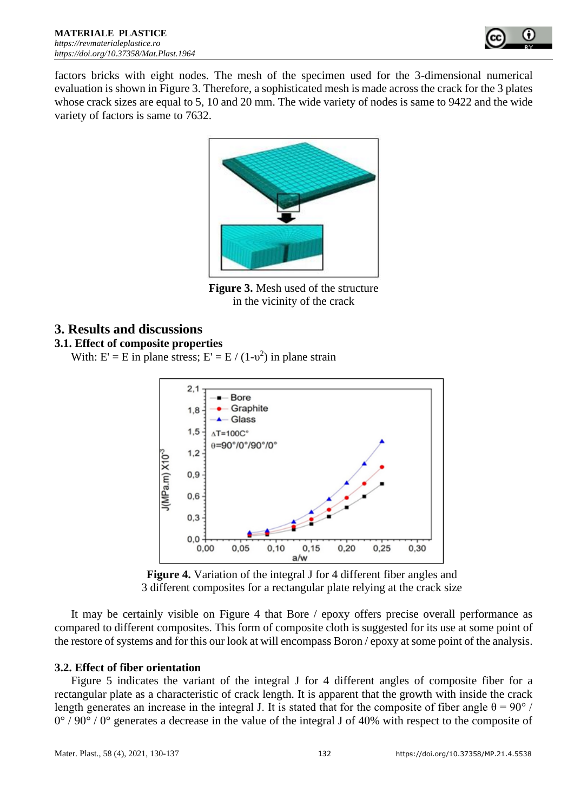

factors bricks with eight nodes. The mesh of the specimen used for the 3-dimensional numerical evaluation is shown in Figure 3. Therefore, a sophisticated mesh is made across the crack for the 3 plates whose crack sizes are equal to 5, 10 and 20 mm. The wide variety of nodes is same to 9422 and the wide variety of factors is same to 7632.



**Figure 3.** Mesh used of the structure in the vicinity of the crack

# **3. Results and discussions**

### **3.1. Effect of composite properties**

With:  $E' = E$  in plane stress;  $E' = E / (1-v^2)$  in plane strain



**Figure 4.** Variation of the integral J for 4 different fiber angles and 3 different composites for a rectangular plate relying at the crack size

It may be certainly visible on Figure 4 that Bore / epoxy offers precise overall performance as compared to different composites. This form of composite cloth is suggested for its use at some point of the restore of systems and for this our look at will encompass Boron / epoxy at some point of the analysis.

# **3.2. Effect of fiber orientation**

Figure 5 indicates the variant of the integral J for 4 different angles of composite fiber for a rectangular plate as a characteristic of crack length. It is apparent that the growth with inside the crack length generates an increase in the integral J. It is stated that for the composite of fiber angle  $\theta = 90^{\circ}$  /  $0^{\circ}$  / 90° / 0° generates a decrease in the value of the integral J of 40% with respect to the composite of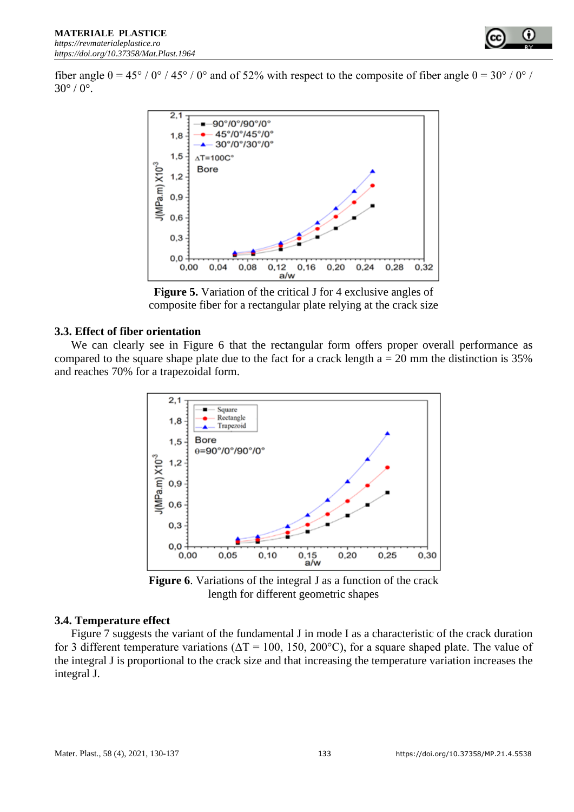fiber angle  $\theta = 45^{\circ}$  / 0° / 45° / 0° and of 52% with respect to the composite of fiber angle  $\theta = 30^{\circ}$  / 0° /  $30^{\circ}$  /  $0^{\circ}$ .



**Figure 5.** Variation of the critical J for 4 exclusive angles of composite fiber for a rectangular plate relying at the crack size

#### **3.3. Effect of fiber orientation**

We can clearly see in Figure 6 that the rectangular form offers proper overall performance as compared to the square shape plate due to the fact for a crack length  $a = 20$  mm the distinction is 35% and reaches 70% for a trapezoidal form.



**Figure 6**. Variations of the integral J as a function of the crack length for different geometric shapes

### **3.4. Temperature effect**

Figure 7 suggests the variant of the fundamental J in mode I as a characteristic of the crack duration for 3 different temperature variations ( $\Delta T = 100$ , 150, 200°C), for a square shaped plate. The value of the integral J is proportional to the crack size and that increasing the temperature variation increases the integral J.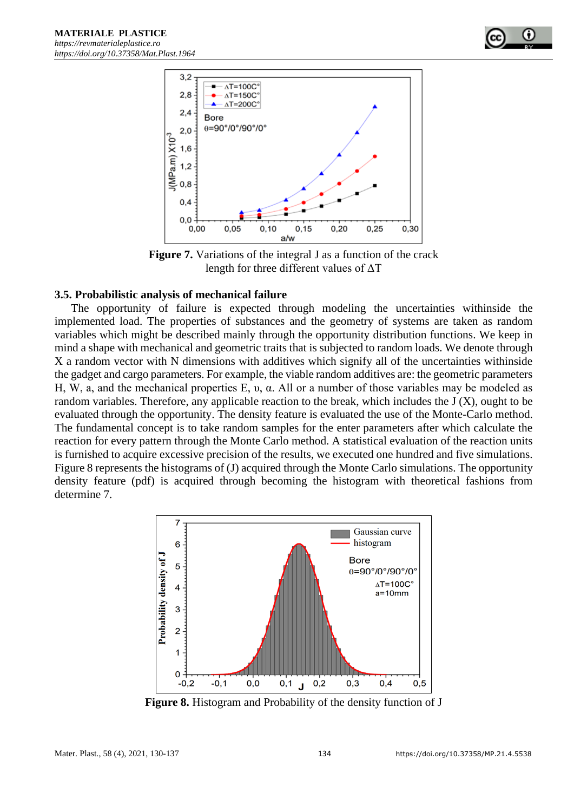

**Figure 7.** Variations of the integral J as a function of the crack length for three different values of ΔT

#### **3.5. Probabilistic analysis of mechanical failure**

The opportunity of failure is expected through modeling the uncertainties withinside the implemented load. The properties of substances and the geometry of systems are taken as random variables which might be described mainly through the opportunity distribution functions. We keep in mind a shape with mechanical and geometric traits that is subjected to random loads. We denote through X a random vector with N dimensions with additives which signify all of the uncertainties withinside the gadget and cargo parameters. For example, the viable random additives are: the geometric parameters H, W, a, and the mechanical properties E, υ, α. All or a number of those variables may be modeled as random variables. Therefore, any applicable reaction to the break, which includes the J (X), ought to be evaluated through the opportunity. The density feature is evaluated the use of the Monte-Carlo method. The fundamental concept is to take random samples for the enter parameters after which calculate the reaction for every pattern through the Monte Carlo method. A statistical evaluation of the reaction units is furnished to acquire excessive precision of the results, we executed one hundred and five simulations. Figure 8 represents the histograms of (J) acquired through the Monte Carlo simulations. The opportunity density feature (pdf) is acquired through becoming the histogram with theoretical fashions from determine 7.



**Figure 8.** Histogram and Probability of the density function of J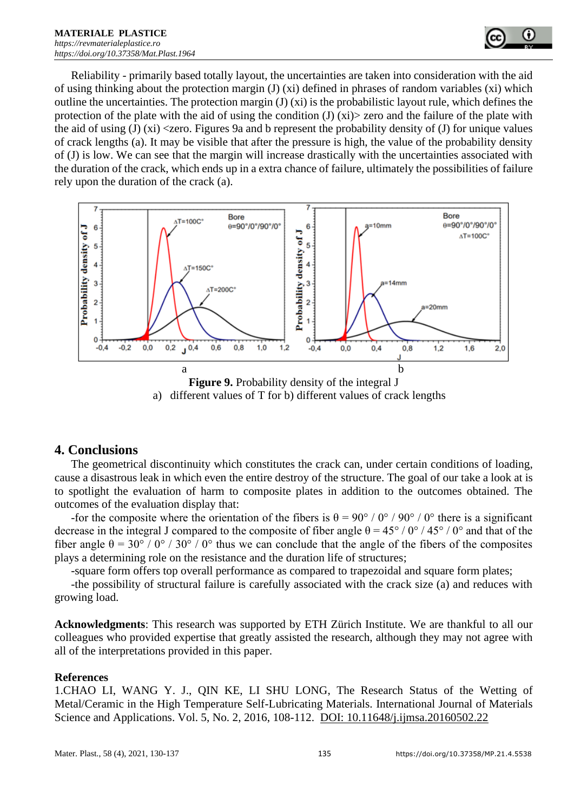Reliability - primarily based totally layout, the uncertainties are taken into consideration with the aid of using thinking about the protection margin (J) (xi) defined in phrases of random variables (xi) which outline the uncertainties. The protection margin (J)  $(xi)$  is the probabilistic layout rule, which defines the protection of the plate with the aid of using the condition  $J(x)$   $\ge$  zero and the failure of the plate with the aid of using  $J(x)$   $\langle$ zero. Figures 9a and b represent the probability density of  $J$  for unique values of crack lengths (a). It may be visible that after the pressure is high, the value of the probability density of (J) is low. We can see that the margin will increase drastically with the uncertainties associated with the duration of the crack, which ends up in a extra chance of failure, ultimately the possibilities of failure rely upon the duration of the crack (a).





# **4. Conclusions**

The geometrical discontinuity which constitutes the crack can, under certain conditions of loading, cause a disastrous leak in which even the entire destroy of the structure. The goal of our take a look at is to spotlight the evaluation of harm to composite plates in addition to the outcomes obtained. The outcomes of the evaluation display that:

-for the composite where the orientation of the fibers is  $\theta = 90^{\circ}$  / 0° / 90° / 0° there is a significant decrease in the integral J compared to the composite of fiber angle  $\theta = 45^{\circ} / 0^{\circ} / 45^{\circ} / 0^{\circ}$  and that of the fiber angle  $\theta = 30^{\circ}$  / 0° / 30° / 0° thus we can conclude that the angle of the fibers of the composites plays a determining role on the resistance and the duration life of structures;

-square form offers top overall performance as compared to trapezoidal and square form plates;

-the possibility of structural failure is carefully associated with the crack size (a) and reduces with growing load.

**Acknowledgments**: This research was supported by ETH Zürich Institute. We are thankful to all our colleagues who provided expertise that greatly assisted the research, although they may not agree with all of the interpretations provided in this paper.

### **References**

1.CHAO LI, WANG Y. J., QIN KE, LI SHU LONG, The Research Status of the Wetting of Metal/Ceramic in the High Temperature Self-Lubricating Materials. International Journal of Materials Science and Applications. Vol. 5, No. 2, 2016, 108-112. DOI: 10.11648/j.ijmsa.20160502.22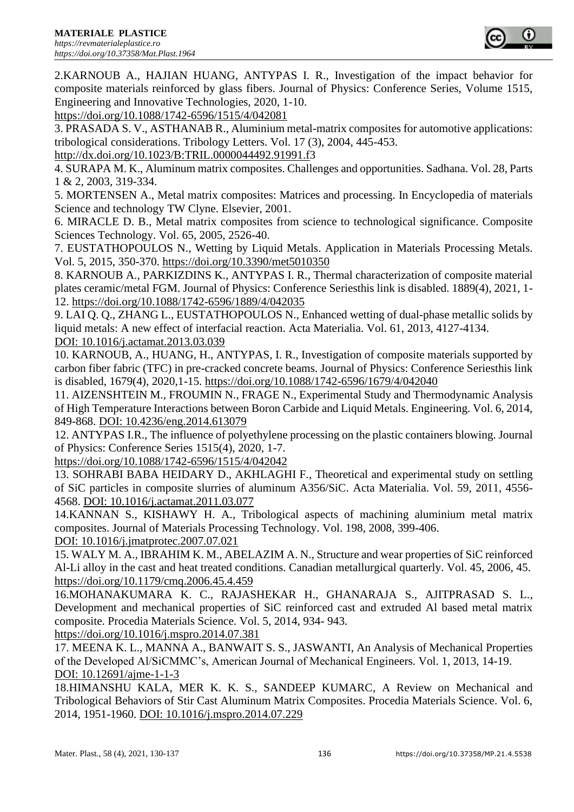

2.KARNOUB A., HAJIAN HUANG, ANTYPAS I. R., Investigation of the impact behavior for composite materials reinforced by glass fibers. Journal of Physics: Conference Series, Volume 1515, Engineering and Innovative Technologies, 2020, 1-10.

<https://doi.org/10.1088/1742-6596/1515/4/042081>

3. PRASADA S. V., ASTHANAB R., Aluminium metal-matrix composites for automotive applications: tribological considerations. Tribology Letters. Vol. 17 (3), 2004, 445-453.

[http://dx.doi.org/10.1023/B:TRIL.0000044492.91991.f3](http://dx.doi.org/10.1023/B:TRIL.0000044492.91991.f)

4. SURAPA M. K., Aluminum matrix composites. Challenges and opportunities. Sadhana. Vol. 28, Parts 1 & 2, 2003, 319-334.

5. MORTENSEN A., Metal matrix composites: Matrices and processing. In Encyclopedia of materials Science and technology TW Clyne. Elsevier, 2001.

6. MIRACLE D. B., Metal matrix composites from science to technological significance. Composite Sciences Technology. Vol. 65, 2005, 2526-40.

7. EUSTATHOPOULOS N., Wetting by Liquid Metals. Application in Materials Processing Metals. Vol. 5, 2015, 350-370.<https://doi.org/10.3390/met5010350>

8. KARNOUB A., PARKIZDINS K., ANTYPAS I. R., Thermal characterization of composite material plates ceramic/metal FGM. Journal of Physics: Conference Seriesthis link is disabled. 1889(4), 2021, 1- 12.<https://doi.org/10.1088/1742-6596/1889/4/042035>

9. LAI Q. Q., ZHANG L., EUSTATHOPOULOS N., Enhanced wetting of dual-phase metallic solids by liquid metals: A new effect of interfacial reaction. Acta Materialia. Vol. 61, 2013, 4127-4134. DOI: 10.1016/j.actamat.2013.03.039

10. KARNOUB, A., HUANG, H., ANTYPAS, I. R., Investigation of composite materials supported by carbon fiber fabric (TFC) in pre-cracked concrete beams. Journal of Physics: Conference Seriesthis link is disabled, 1679(4), 2020,1-15. <https://doi.org/10.1088/1742-6596/1679/4/042040>

11. AIZENSHTEIN M., FROUMIN N., FRAGE N., Experimental Study and Thermodynamic Analysis of High Temperature Interactions between Boron Carbide and Liquid Metals. Engineering. Vol. 6, 2014, 849-868. DOI: 10.4236/eng.2014.613079

12. ANTYPAS I.R., The influence of polyethylene processing on the plastic containers blowing. Journal of Physics: Conference Series 1515(4), 2020, 1-7.

<https://doi.org/10.1088/1742-6596/1515/4/042042>

13. SOHRABI BABA HEIDARY D., AKHLAGHI F., Theoretical and experimental study on settling of SiC particles in composite slurries of aluminum A356/SiC. Acta Materialia. Vol. 59, 2011, 4556- 4568. DOI: 10.1016/j.actamat.2011.03.077

14.KANNAN S., KISHAWY H. A., Tribological aspects of machining aluminium metal matrix composites. Journal of Materials Processing Technology. Vol. 198, 2008, 399-406.

DOI: 10.1016/j.jmatprotec.2007.07.021

15. WALY M. A., IBRAHIM K. M., ABELAZIM A. N., Structure and wear properties of SiC reinforced Al-Li alloy in the cast and heat treated conditions. Canadian metallurgical quarterly. Vol. 45, 2006, 45. <https://doi.org/10.1179/cmq.2006.45.4.459>

16.MOHANAKUMARA K. C., RAJASHEKAR H., GHANARAJA S., AJITPRASAD S. L., Development and mechanical properties of SiC reinforced cast and extruded Al based metal matrix composite. Procedia Materials Science. Vol. 5, 2014, 934- 943.

<https://doi.org/10.1016/j.mspro.2014.07.381>

17. MEENA K. L., MANNA A., BANWAIT S. S., JASWANTI, An Analysis of Mechanical Properties of the Developed Al/SiCMMC's, American Journal of Mechanical Engineers. Vol. 1, 2013, 14-19. DOI: 10.12691/ajme-1-1-3

18.HIMANSHU KALA, MER K. K. S., SANDEEP KUMARC, A Review on Mechanical and Tribological Behaviors of Stir Cast Aluminum Matrix Composites. Procedia Materials Science. Vol. 6, 2014, 1951-1960. DOI: 10.1016/j.mspro.2014.07.229